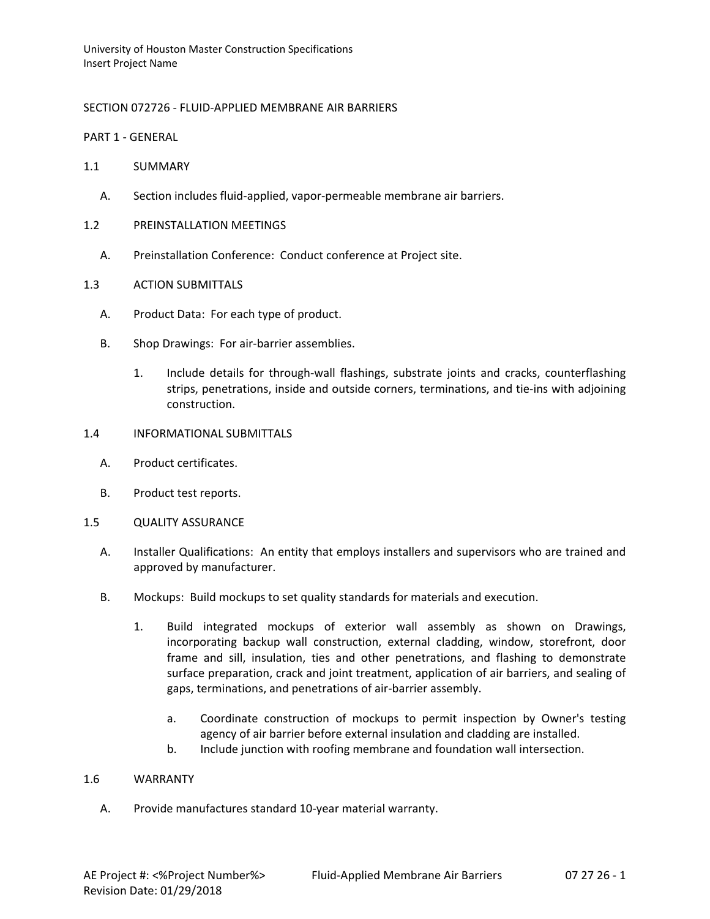# SECTION 072726 - FLUID-APPLIED MEMBRANE AIR BARRIERS

PART 1 - GENERAL

- 1.1 SUMMARY
	- A. Section includes fluid-applied, vapor-permeable membrane air barriers.
- 1.2 PREINSTALLATION MEETINGS
	- A. Preinstallation Conference: Conduct conference at Project site.
- 1.3 ACTION SUBMITTALS
	- A. Product Data: For each type of product.
	- B. Shop Drawings: For air-barrier assemblies.
		- 1. Include details for through-wall flashings, substrate joints and cracks, counterflashing strips, penetrations, inside and outside corners, terminations, and tie-ins with adjoining construction.
- 1.4 INFORMATIONAL SUBMITTALS
	- A. Product certificates.
	- B. Product test reports.
- 1.5 QUALITY ASSURANCE
	- A. Installer Qualifications: An entity that employs installers and supervisors who are trained and approved by manufacturer.
	- B. Mockups: Build mockups to set quality standards for materials and execution.
		- 1. Build integrated mockups of exterior wall assembly as shown on Drawings, incorporating backup wall construction, external cladding, window, storefront, door frame and sill, insulation, ties and other penetrations, and flashing to demonstrate surface preparation, crack and joint treatment, application of air barriers, and sealing of gaps, terminations, and penetrations of air-barrier assembly.
			- a. Coordinate construction of mockups to permit inspection by Owner's testing agency of air barrier before external insulation and cladding are installed.
			- b. Include junction with roofing membrane and foundation wall intersection.

### 1.6 WARRANTY

A. Provide manufactures standard 10-year material warranty.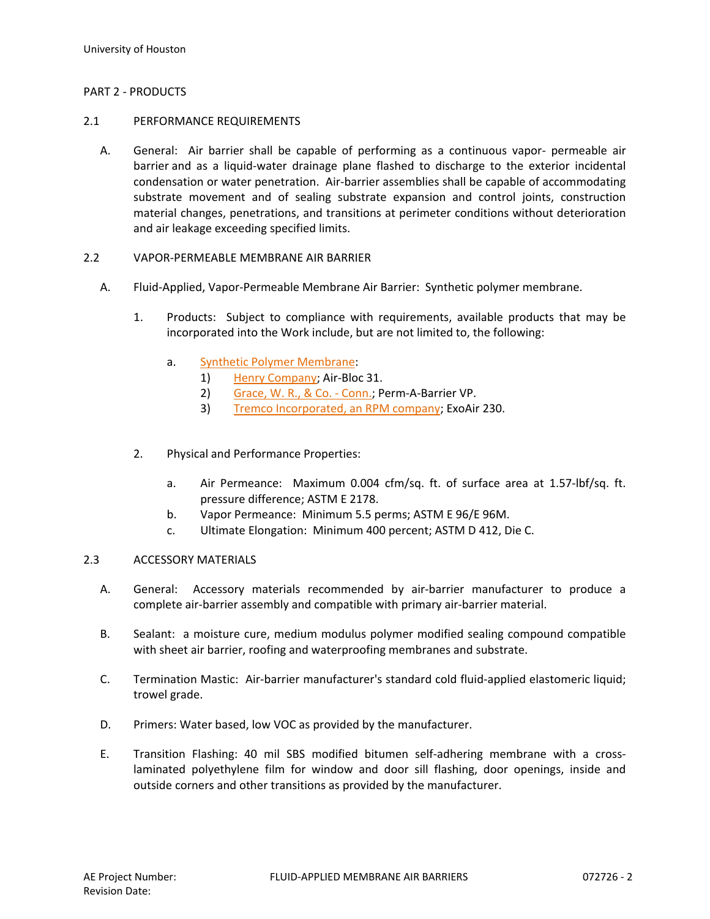### PART 2 - PRODUCTS

#### 2.1 PERFORMANCE REQUIREMENTS

A. General: Air barrier shall be capable of performing as a continuous vapor- permeable air barrier and as a liquid-water drainage plane flashed to discharge to the exterior incidental condensation or water penetration. Air-barrier assemblies shall be capable of accommodating substrate movement and of sealing substrate expansion and control joints, construction material changes, penetrations, and transitions at perimeter conditions without deterioration and air leakage exceeding specified limits.

### 2.2 VAPOR-PERMEABLE MEMBRANE AIR BARRIER

- A. Fluid-Applied, Vapor-Permeable Membrane Air Barrier: Synthetic polymer membrane.
	- 1. Products: Subject to compliance with requirements, available products that may be incorporated into the Work include, but are not limited to, the following:
		- a. [Synthetic Polymer Membrane:](http://www.specagent.com/LookUp/?ulid=6252&mf=04&src=wd)
			- 1) [Henry Company;](http://www.specagent.com/LookUp/?uid=123456830692&mf=04&src=wd) Air-Bloc 31.
			- 2) [Grace, W. R., & Co. -](http://www.specagent.com/LookUp/?uid=123456830691&mf=04&src=wd) Conn.; Perm-A-Barrier VP.
			- 3) [Tremco Incorporated, an RPM company;](http://www.specagent.com/LookUp/?uid=123456830694&mf=04&src=wd) ExoAir 230.
	- 2. Physical and Performance Properties:
		- a. Air Permeance: Maximum 0.004 cfm/sq. ft. of surface area at 1.57-lbf/sq. ft. pressure difference; ASTM E 2178.
		- b. Vapor Permeance: Minimum 5.5 perms; ASTM E 96/E 96M.
		- c. Ultimate Elongation: Minimum 400 percent; ASTM D 412, Die C.

### 2.3 ACCESSORY MATERIALS

- A. General: Accessory materials recommended by air-barrier manufacturer to produce a complete air-barrier assembly and compatible with primary air-barrier material.
- B. Sealant: a moisture cure, medium modulus polymer modified sealing compound compatible with sheet air barrier, roofing and waterproofing membranes and substrate.
- C. Termination Mastic: Air-barrier manufacturer's standard cold fluid-applied elastomeric liquid; trowel grade.
- D. Primers: Water based, low VOC as provided by the manufacturer.
- E. Transition Flashing: 40 mil SBS modified bitumen self-adhering membrane with a crosslaminated polyethylene film for window and door sill flashing, door openings, inside and outside corners and other transitions as provided by the manufacturer.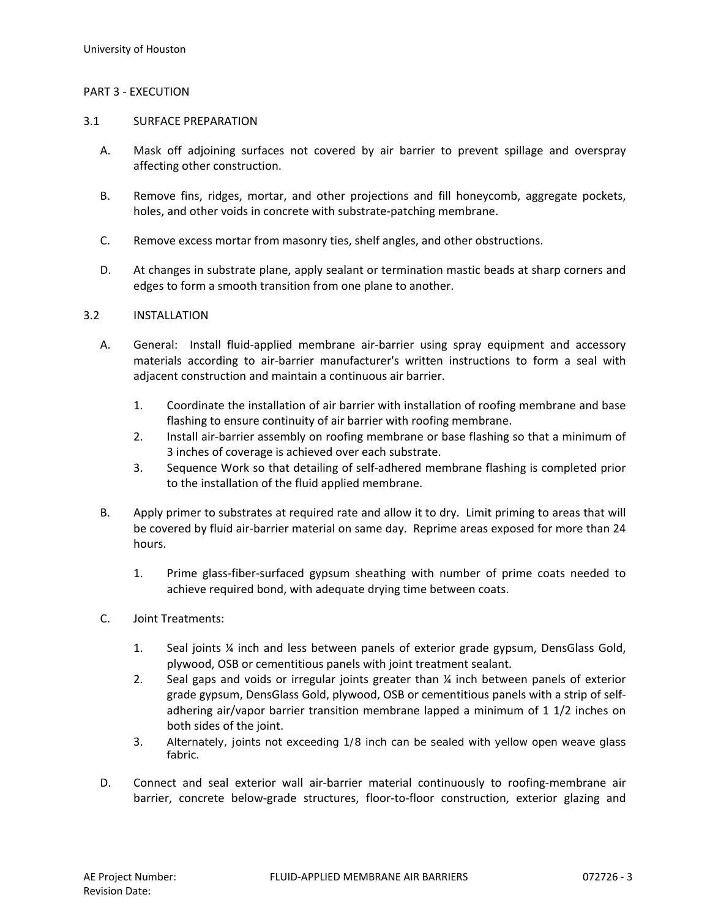## PART 3 - EXECUTION

### 3.1 SURFACE PREPARATION

- A. Mask off adjoining surfaces not covered by air barrier to prevent spillage and overspray affecting other construction.
- B. Remove fins, ridges, mortar, and other projections and fill honeycomb, aggregate pockets, holes, and other voids in concrete with substrate-patching membrane.
- C. Remove excess mortar from masonry ties, shelf angles, and other obstructions.
- D. At changes in substrate plane, apply sealant or termination mastic beads at sharp corners and edges to form a smooth transition from one plane to another.

### 3.2 INSTALLATION

- A. General: Install fluid-applied membrane air-barrier using spray equipment and accessory materials according to air-barrier manufacturer's written instructions to form a seal with adjacent construction and maintain a continuous air barrier.
	- 1. Coordinate the installation of air barrier with installation of roofing membrane and base flashing to ensure continuity of air barrier with roofing membrane.
	- 2. Install air-barrier assembly on roofing membrane or base flashing so that a minimum of 3 inches of coverage is achieved over each substrate.
	- 3. Sequence Work so that detailing of self-adhered membrane flashing is completed prior to the installation of the fluid applied membrane.
- B. Apply primer to substrates at required rate and allow it to dry. Limit priming to areas that will be covered by fluid air-barrier material on same day. Reprime areas exposed for more than 24 hours.
	- 1. Prime glass-fiber-surfaced gypsum sheathing with number of prime coats needed to achieve required bond, with adequate drying time between coats.
- C. Joint Treatments:
	- 1. Seal joints ¼ inch and less between panels of exterior grade gypsum, DensGlass Gold, plywood, OSB or cementitious panels with joint treatment sealant.
	- 2. Seal gaps and voids or irregular joints greater than ¼ inch between panels of exterior grade gypsum, DensGlass Gold, plywood, OSB or cementitious panels with a strip of selfadhering air/vapor barrier transition membrane lapped a minimum of 1 1/2 inches on both sides of the joint.
	- 3. Alternately, joints not exceeding 1/8 inch can be sealed with yellow open weave glass fabric.
- D. Connect and seal exterior wall air-barrier material continuously to roofing-membrane air barrier, concrete below-grade structures, floor-to-floor construction, exterior glazing and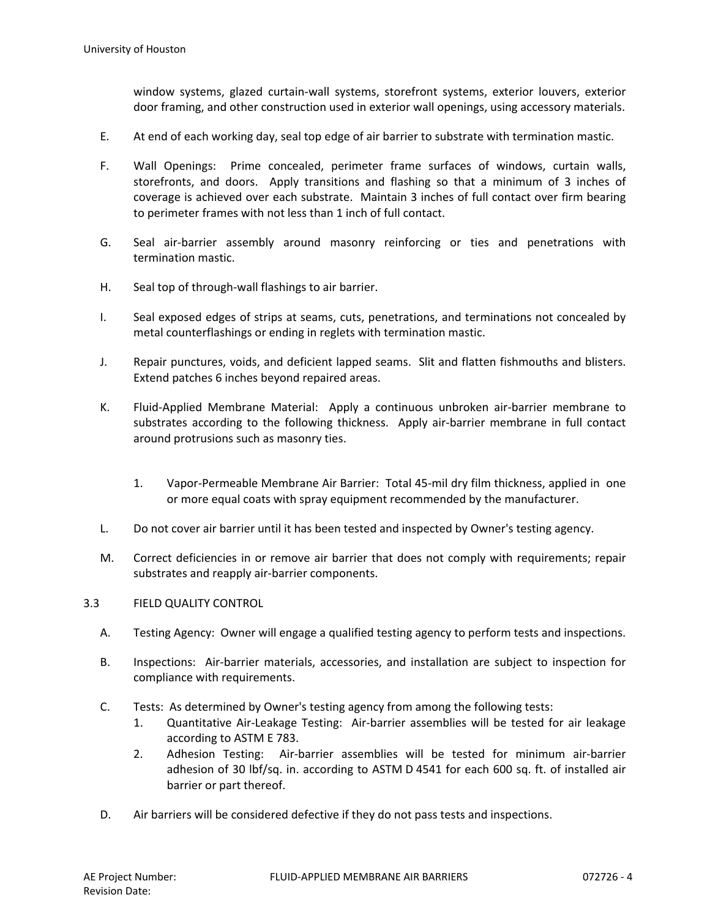window systems, glazed curtain-wall systems, storefront systems, exterior louvers, exterior door framing, and other construction used in exterior wall openings, using accessory materials.

- E. At end of each working day, seal top edge of air barrier to substrate with termination mastic.
- F. Wall Openings: Prime concealed, perimeter frame surfaces of windows, curtain walls, storefronts, and doors. Apply transitions and flashing so that a minimum of 3 inches of coverage is achieved over each substrate. Maintain 3 inches of full contact over firm bearing to perimeter frames with not less than 1 inch of full contact.
- G. Seal air-barrier assembly around masonry reinforcing or ties and penetrations with termination mastic.
- H. Seal top of through-wall flashings to air barrier.
- I. Seal exposed edges of strips at seams, cuts, penetrations, and terminations not concealed by metal counterflashings or ending in reglets with termination mastic.
- J. Repair punctures, voids, and deficient lapped seams. Slit and flatten fishmouths and blisters. Extend patches 6 inches beyond repaired areas.
- K. Fluid-Applied Membrane Material: Apply a continuous unbroken air-barrier membrane to substrates according to the following thickness. Apply air-barrier membrane in full contact around protrusions such as masonry ties.
	- 1. Vapor-Permeable Membrane Air Barrier: Total 45-mil dry film thickness, applied in one or more equal coats with spray equipment recommended by the manufacturer.
- L. Do not cover air barrier until it has been tested and inspected by Owner's testing agency.
- M. Correct deficiencies in or remove air barrier that does not comply with requirements; repair substrates and reapply air-barrier components.

### 3.3 FIELD QUALITY CONTROL

- A. Testing Agency: Owner will engage a qualified testing agency to perform tests and inspections.
- B. Inspections: Air-barrier materials, accessories, and installation are subject to inspection for compliance with requirements.
- C. Tests: As determined by Owner's testing agency from among the following tests:
	- 1. Quantitative Air-Leakage Testing: Air-barrier assemblies will be tested for air leakage according to ASTM E 783.
	- 2. Adhesion Testing: Air-barrier assemblies will be tested for minimum air-barrier adhesion of 30 lbf/sq. in. according to ASTM D 4541 for each 600 sq. ft. of installed air barrier or part thereof.
- D. Air barriers will be considered defective if they do not pass tests and inspections.